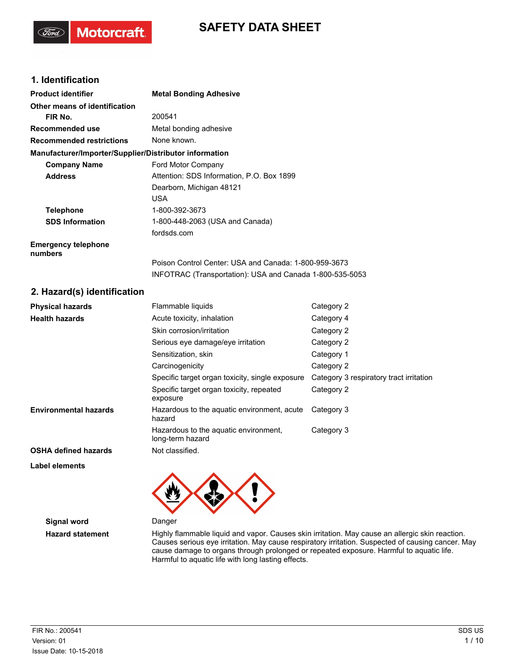# **SAFETY DATA SHEET**

## **1. Identification**

'Sord

**Motorcraft** 

| <b>Product identifier</b>                              | <b>Metal Bonding Adhesive</b>                             |                                         |  |
|--------------------------------------------------------|-----------------------------------------------------------|-----------------------------------------|--|
| Other means of identification                          |                                                           |                                         |  |
| FIR No.                                                | 200541                                                    |                                         |  |
| <b>Recommended use</b>                                 | Metal bonding adhesive                                    |                                         |  |
| <b>Recommended restrictions</b>                        | None known.                                               |                                         |  |
| Manufacturer/Importer/Supplier/Distributor information |                                                           |                                         |  |
| <b>Company Name</b>                                    | Ford Motor Company                                        |                                         |  |
| <b>Address</b>                                         | Attention: SDS Information, P.O. Box 1899                 |                                         |  |
|                                                        | Dearborn, Michigan 48121                                  |                                         |  |
|                                                        | <b>USA</b>                                                |                                         |  |
| <b>Telephone</b>                                       | 1-800-392-3673                                            |                                         |  |
| <b>SDS Information</b>                                 | 1-800-448-2063 (USA and Canada)                           |                                         |  |
|                                                        | fordsds.com                                               |                                         |  |
| <b>Emergency telephone</b><br>numbers                  |                                                           |                                         |  |
|                                                        | Poison Control Center: USA and Canada: 1-800-959-3673     |                                         |  |
|                                                        | INFOTRAC (Transportation): USA and Canada 1-800-535-5053  |                                         |  |
| 2. Hazard(s) identification                            |                                                           |                                         |  |
| <b>Physical hazards</b>                                | Flammable liquids                                         | Category 2                              |  |
| <b>Health hazards</b>                                  | Acute toxicity, inhalation                                | Category 4                              |  |
|                                                        | Skin corrosion/irritation                                 | Category 2                              |  |
|                                                        | Serious eye damage/eye irritation                         | Category 2                              |  |
|                                                        | Sensitization, skin                                       | Category 1                              |  |
|                                                        | Carcinogenicity                                           | Category 2                              |  |
|                                                        | Specific target organ toxicity, single exposure           | Category 3 respiratory tract irritation |  |
|                                                        | Specific target organ toxicity, repeated<br>exposure      | Category 2                              |  |
| <b>Environmental hazards</b>                           | Hazardous to the aquatic environment, acute<br>hazard     | Category 3                              |  |
|                                                        | Hazardous to the aquatic environment,<br>long-term hazard | Category 3                              |  |

**OSHA defined hazards** Not classified.

**Label elements**



**Signal word** Danger

Hazard statement **Highly flammable liquid and vapor. Causes skin irritation. May cause an allergic skin reaction.** Causes serious eye irritation. May cause respiratory irritation. Suspected of causing cancer. May cause damage to organs through prolonged or repeated exposure. Harmful to aquatic life. Harmful to aquatic life with long lasting effects.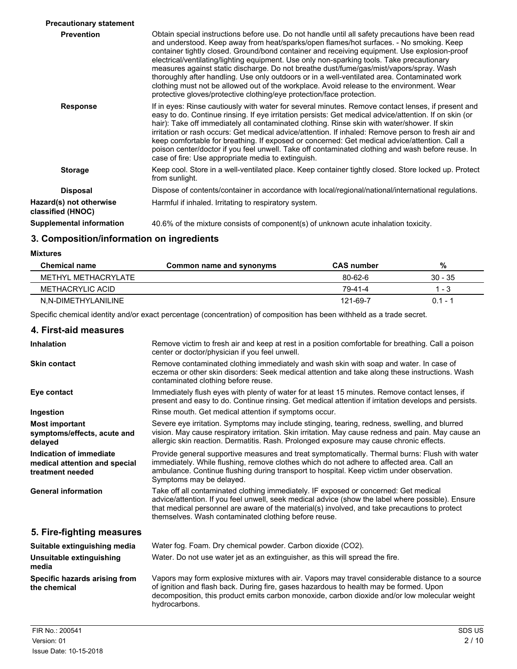| <b>Precautionary statement</b>               |                                                                                                                                                                                                                                                                                                                                                                                                                                                                                                                                                                                                                                                                                                                                                             |
|----------------------------------------------|-------------------------------------------------------------------------------------------------------------------------------------------------------------------------------------------------------------------------------------------------------------------------------------------------------------------------------------------------------------------------------------------------------------------------------------------------------------------------------------------------------------------------------------------------------------------------------------------------------------------------------------------------------------------------------------------------------------------------------------------------------------|
| <b>Prevention</b>                            | Obtain special instructions before use. Do not handle until all safety precautions have been read<br>and understood. Keep away from heat/sparks/open flames/hot surfaces. - No smoking. Keep<br>container tightly closed. Ground/bond container and receiving equipment. Use explosion-proof<br>electrical/ventilating/lighting equipment. Use only non-sparking tools. Take precautionary<br>measures against static discharge. Do not breathe dust/fume/gas/mist/vapors/spray. Wash<br>thoroughly after handling. Use only outdoors or in a well-ventilated area. Contaminated work<br>clothing must not be allowed out of the workplace. Avoid release to the environment. Wear<br>protective gloves/protective clothing/eye protection/face protection. |
| <b>Response</b>                              | If in eyes: Rinse cautiously with water for several minutes. Remove contact lenses, if present and<br>easy to do. Continue rinsing. If eye irritation persists: Get medical advice/attention. If on skin (or<br>hair): Take off immediately all contaminated clothing. Rinse skin with water/shower. If skin<br>irritation or rash occurs: Get medical advice/attention. If inhaled: Remove person to fresh air and<br>keep comfortable for breathing. If exposed or concerned: Get medical advice/attention. Call a<br>poison center/doctor if you feel unwell. Take off contaminated clothing and wash before reuse. In<br>case of fire: Use appropriate media to extinguish.                                                                             |
| <b>Storage</b>                               | Keep cool. Store in a well-ventilated place. Keep container tightly closed. Store locked up. Protect<br>from sunlight.                                                                                                                                                                                                                                                                                                                                                                                                                                                                                                                                                                                                                                      |
| <b>Disposal</b>                              | Dispose of contents/container in accordance with local/regional/national/international regulations.                                                                                                                                                                                                                                                                                                                                                                                                                                                                                                                                                                                                                                                         |
| Hazard(s) not otherwise<br>classified (HNOC) | Harmful if inhaled. Irritating to respiratory system.                                                                                                                                                                                                                                                                                                                                                                                                                                                                                                                                                                                                                                                                                                       |
| <b>Supplemental information</b>              | 40.6% of the mixture consists of component(s) of unknown acute inhalation toxicity.                                                                                                                                                                                                                                                                                                                                                                                                                                                                                                                                                                                                                                                                         |

## **3. Composition/information on ingredients**

**Mixtures**

| <b>Chemical name</b> | Common name and synonyms | <b>CAS</b> number | %         |
|----------------------|--------------------------|-------------------|-----------|
| METHYL METHACRYLATE  |                          | $80 - 62 - 6$     | $30 - 35$ |
| METHACRYLIC ACID     |                          | 79-41-4           | l - 3     |
| N.N-DIMETHYLANILINE  |                          | 121-69-7          | $0.1 - 1$ |

Specific chemical identity and/or exact percentage (concentration) of composition has been withheld as a trade secret.

### **4. First-aid measures**

| <b>Inhalation</b>                                                            | Remove victim to fresh air and keep at rest in a position comfortable for breathing. Call a poison<br>center or doctor/physician if you feel unwell.                                                                                                                                                                                               |
|------------------------------------------------------------------------------|----------------------------------------------------------------------------------------------------------------------------------------------------------------------------------------------------------------------------------------------------------------------------------------------------------------------------------------------------|
| <b>Skin contact</b>                                                          | Remove contaminated clothing immediately and wash skin with soap and water. In case of<br>eczema or other skin disorders: Seek medical attention and take along these instructions. Wash<br>contaminated clothing before reuse.                                                                                                                    |
| Eye contact                                                                  | Immediately flush eyes with plenty of water for at least 15 minutes. Remove contact lenses, if<br>present and easy to do. Continue rinsing. Get medical attention if irritation develops and persists.                                                                                                                                             |
| Ingestion                                                                    | Rinse mouth. Get medical attention if symptoms occur.                                                                                                                                                                                                                                                                                              |
| <b>Most important</b><br>symptoms/effects, acute and<br>delayed              | Severe eye irritation. Symptoms may include stinging, tearing, redness, swelling, and blurred<br>vision. May cause respiratory irritation. Skin irritation. May cause redness and pain. May cause an<br>allergic skin reaction. Dermatitis. Rash. Prolonged exposure may cause chronic effects.                                                    |
| Indication of immediate<br>medical attention and special<br>treatment needed | Provide general supportive measures and treat symptomatically. Thermal burns: Flush with water<br>immediately. While flushing, remove clothes which do not adhere to affected area. Call an<br>ambulance. Continue flushing during transport to hospital. Keep victim under observation.<br>Symptoms may be delayed.                               |
| <b>General information</b>                                                   | Take off all contaminated clothing immediately. IF exposed or concerned: Get medical<br>advice/attention. If you feel unwell, seek medical advice (show the label where possible). Ensure<br>that medical personnel are aware of the material(s) involved, and take precautions to protect<br>themselves. Wash contaminated clothing before reuse. |
| 5. Fire-fighting measures                                                    |                                                                                                                                                                                                                                                                                                                                                    |
| Suitable extinguishing media                                                 | Water fog. Foam. Dry chemical powder. Carbon dioxide (CO2).                                                                                                                                                                                                                                                                                        |
| Unsuitable extinguishing<br>media                                            | Water. Do not use water jet as an extinguisher, as this will spread the fire.                                                                                                                                                                                                                                                                      |
| Specific hazards arising from<br>the chemical                                | Vapors may form explosive mixtures with air. Vapors may travel considerable distance to a source<br>of ignition and flash back. During fire, gases hazardous to health may be formed. Upon<br>decomposition, this product emits carbon monoxide, carbon dioxide and/or low molecular weight<br>hydrocarbons.                                       |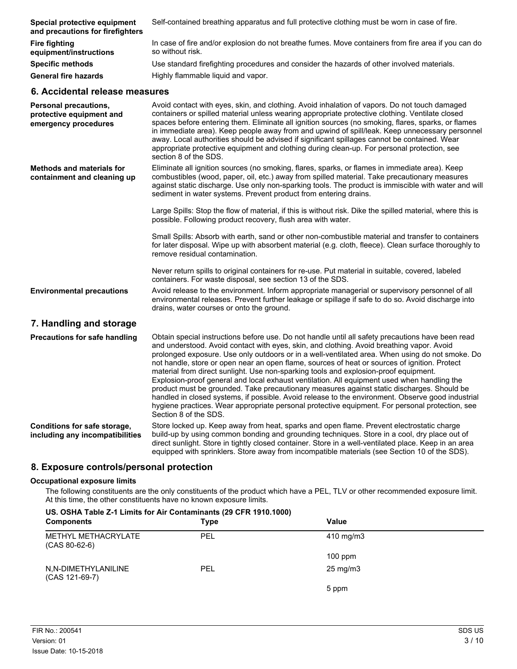| Special protective equipment<br>and precautions for firefighters | Self-contained breathing apparatus and full protective clothing must be worn in case of fire.                           |
|------------------------------------------------------------------|-------------------------------------------------------------------------------------------------------------------------|
| <b>Fire fighting</b><br>equipment/instructions                   | In case of fire and/or explosion do not breathe fumes. Move containers from fire area if you can do<br>so without risk. |
| <b>Specific methods</b>                                          | Use standard firefighting procedures and consider the hazards of other involved materials.                              |
| <b>General fire hazards</b>                                      | Highly flammable liquid and vapor.                                                                                      |
| 6. Accidental release measures                                   |                                                                                                                         |
|                                                                  |                                                                                                                         |

| Personal precautions,<br>protective equipment and<br>emergency procedures | Avoid contact with eyes, skin, and clothing. Avoid inhalation of vapors. Do not touch damaged<br>containers or spilled material unless wearing appropriate protective clothing. Ventilate closed<br>spaces before entering them. Eliminate all ignition sources (no smoking, flares, sparks, or flames<br>in immediate area). Keep people away from and upwind of spill/leak. Keep unnecessary personnel<br>away. Local authorities should be advised if significant spillages cannot be contained. Wear<br>appropriate protective equipment and clothing during clean-up. For personal protection, see<br>section 8 of the SDS.                                                                                                                                                                                                                                                                                         |
|---------------------------------------------------------------------------|--------------------------------------------------------------------------------------------------------------------------------------------------------------------------------------------------------------------------------------------------------------------------------------------------------------------------------------------------------------------------------------------------------------------------------------------------------------------------------------------------------------------------------------------------------------------------------------------------------------------------------------------------------------------------------------------------------------------------------------------------------------------------------------------------------------------------------------------------------------------------------------------------------------------------|
| <b>Methods and materials for</b><br>containment and cleaning up           | Eliminate all ignition sources (no smoking, flares, sparks, or flames in immediate area). Keep<br>combustibles (wood, paper, oil, etc.) away from spilled material. Take precautionary measures<br>against static discharge. Use only non-sparking tools. The product is immiscible with water and will<br>sediment in water systems. Prevent product from entering drains.                                                                                                                                                                                                                                                                                                                                                                                                                                                                                                                                              |
|                                                                           | Large Spills: Stop the flow of material, if this is without risk. Dike the spilled material, where this is<br>possible. Following product recovery, flush area with water.                                                                                                                                                                                                                                                                                                                                                                                                                                                                                                                                                                                                                                                                                                                                               |
|                                                                           | Small Spills: Absorb with earth, sand or other non-combustible material and transfer to containers<br>for later disposal. Wipe up with absorbent material (e.g. cloth, fleece). Clean surface thoroughly to<br>remove residual contamination.                                                                                                                                                                                                                                                                                                                                                                                                                                                                                                                                                                                                                                                                            |
|                                                                           | Never return spills to original containers for re-use. Put material in suitable, covered, labeled<br>containers. For waste disposal, see section 13 of the SDS.                                                                                                                                                                                                                                                                                                                                                                                                                                                                                                                                                                                                                                                                                                                                                          |
| <b>Environmental precautions</b>                                          | Avoid release to the environment. Inform appropriate managerial or supervisory personnel of all<br>environmental releases. Prevent further leakage or spillage if safe to do so. Avoid discharge into<br>drains, water courses or onto the ground.                                                                                                                                                                                                                                                                                                                                                                                                                                                                                                                                                                                                                                                                       |
| 7. Handling and storage                                                   |                                                                                                                                                                                                                                                                                                                                                                                                                                                                                                                                                                                                                                                                                                                                                                                                                                                                                                                          |
| <b>Precautions for safe handling</b>                                      | Obtain special instructions before use. Do not handle until all safety precautions have been read<br>and understood. Avoid contact with eyes, skin, and clothing. Avoid breathing vapor. Avoid<br>prolonged exposure. Use only outdoors or in a well-ventilated area. When using do not smoke. Do<br>not handle, store or open near an open flame, sources of heat or sources of ignition. Protect<br>material from direct sunlight. Use non-sparking tools and explosion-proof equipment.<br>Explosion-proof general and local exhaust ventilation. All equipment used when handling the<br>product must be grounded. Take precautionary measures against static discharges. Should be<br>handled in closed systems, if possible. Avoid release to the environment. Observe good industrial<br>hygiene practices. Wear appropriate personal protective equipment. For personal protection, see<br>Section 8 of the SDS. |
| Conditions for safe storage,<br>including any incompatibilities           | Store locked up. Keep away from heat, sparks and open flame. Prevent electrostatic charge<br>build-up by using common bonding and grounding techniques. Store in a cool, dry place out of<br>direct sunlight. Store in tightly closed container. Store in a well-ventilated place. Keep in an area<br>equipped with sprinklers. Store away from incompatible materials (see Section 10 of the SDS).                                                                                                                                                                                                                                                                                                                                                                                                                                                                                                                      |

## **8. Exposure controls/personal protection**

#### **Occupational exposure limits**

The following constituents are the only constituents of the product which have a PEL, TLV or other recommended exposure limit. At this time, the other constituents have no known exposure limits.

#### **US. OSHA Table Z-1 Limits for Air Contaminants (29 CFR 1910.1000)**

| <b>Components</b>                      | <b>Type</b> | <b>Value</b>      |  |
|----------------------------------------|-------------|-------------------|--|
| METHYL METHACRYLATE<br>$(CAS 80-62-6)$ | PEL         | 410 mg/m3         |  |
|                                        |             | $100$ ppm         |  |
| N,N-DIMETHYLANILINE<br>(CAS 121-69-7)  | PEL         | $25 \text{ mg/m}$ |  |
|                                        |             | 5 ppm             |  |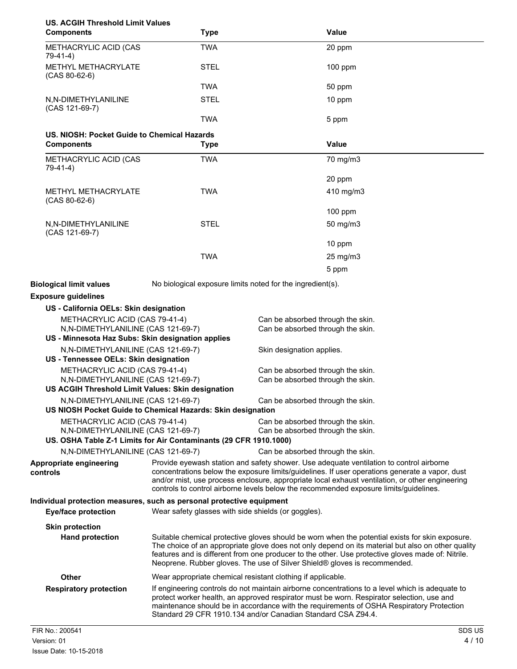| <b>US. ACGIH Threshold Limit Values</b><br><b>Components</b>                                                              | <b>Type</b>                                         | Value                                                                                                                                                                                                                                                                                                                                                                                  |
|---------------------------------------------------------------------------------------------------------------------------|-----------------------------------------------------|----------------------------------------------------------------------------------------------------------------------------------------------------------------------------------------------------------------------------------------------------------------------------------------------------------------------------------------------------------------------------------------|
| METHACRYLIC ACID (CAS<br>79-41-4)                                                                                         | <b>TWA</b>                                          | 20 ppm                                                                                                                                                                                                                                                                                                                                                                                 |
| METHYL METHACRYLATE<br>$(CAS 80-62-6)$                                                                                    | <b>STEL</b>                                         | 100 ppm                                                                                                                                                                                                                                                                                                                                                                                |
|                                                                                                                           | <b>TWA</b>                                          | 50 ppm                                                                                                                                                                                                                                                                                                                                                                                 |
| N,N-DIMETHYLANILINE                                                                                                       | <b>STEL</b>                                         | 10 ppm                                                                                                                                                                                                                                                                                                                                                                                 |
| (CAS 121-69-7)                                                                                                            | <b>TWA</b>                                          | 5 ppm                                                                                                                                                                                                                                                                                                                                                                                  |
| US. NIOSH: Pocket Guide to Chemical Hazards                                                                               |                                                     |                                                                                                                                                                                                                                                                                                                                                                                        |
| <b>Components</b>                                                                                                         | <b>Type</b>                                         | <b>Value</b>                                                                                                                                                                                                                                                                                                                                                                           |
| METHACRYLIC ACID (CAS<br>79-41-4)                                                                                         | <b>TWA</b>                                          | 70 mg/m3                                                                                                                                                                                                                                                                                                                                                                               |
|                                                                                                                           |                                                     | 20 ppm                                                                                                                                                                                                                                                                                                                                                                                 |
| <b>METHYL METHACRYLATE</b>                                                                                                | <b>TWA</b>                                          | 410 mg/m3                                                                                                                                                                                                                                                                                                                                                                              |
| $(CAS 80-62-6)$                                                                                                           |                                                     | 100 ppm                                                                                                                                                                                                                                                                                                                                                                                |
| N,N-DIMETHYLANILINE<br>(CAS 121-69-7)                                                                                     | <b>STEL</b>                                         | 50 mg/m3                                                                                                                                                                                                                                                                                                                                                                               |
|                                                                                                                           |                                                     | 10 ppm                                                                                                                                                                                                                                                                                                                                                                                 |
|                                                                                                                           | <b>TWA</b>                                          | 25 mg/m3                                                                                                                                                                                                                                                                                                                                                                               |
|                                                                                                                           |                                                     | 5 ppm                                                                                                                                                                                                                                                                                                                                                                                  |
|                                                                                                                           |                                                     |                                                                                                                                                                                                                                                                                                                                                                                        |
| <b>Biological limit values</b>                                                                                            |                                                     | No biological exposure limits noted for the ingredient(s).                                                                                                                                                                                                                                                                                                                             |
| <b>Exposure guidelines</b>                                                                                                |                                                     |                                                                                                                                                                                                                                                                                                                                                                                        |
| US - California OELs: Skin designation                                                                                    |                                                     |                                                                                                                                                                                                                                                                                                                                                                                        |
| METHACRYLIC ACID (CAS 79-41-4)<br>N,N-DIMETHYLANILINE (CAS 121-69-7)<br>US - Minnesota Haz Subs: Skin designation applies |                                                     | Can be absorbed through the skin.<br>Can be absorbed through the skin.                                                                                                                                                                                                                                                                                                                 |
| N, N-DIMETHYLANILINE (CAS 121-69-7)                                                                                       |                                                     | Skin designation applies.                                                                                                                                                                                                                                                                                                                                                              |
| US - Tennessee OELs: Skin designation                                                                                     |                                                     |                                                                                                                                                                                                                                                                                                                                                                                        |
| METHACRYLIC ACID (CAS 79-41-4)                                                                                            |                                                     | Can be absorbed through the skin.                                                                                                                                                                                                                                                                                                                                                      |
| N,N-DIMETHYLANILINE (CAS 121-69-7)<br>US ACGIH Threshold Limit Values: Skin designation                                   |                                                     | Can be absorbed through the skin.                                                                                                                                                                                                                                                                                                                                                      |
| N,N-DIMETHYLANILINE (CAS 121-69-7)                                                                                        |                                                     | Can be absorbed through the skin.                                                                                                                                                                                                                                                                                                                                                      |
| US NIOSH Pocket Guide to Chemical Hazards: Skin designation                                                               |                                                     |                                                                                                                                                                                                                                                                                                                                                                                        |
| METHACRYLIC ACID (CAS 79-41-4)                                                                                            |                                                     | Can be absorbed through the skin.                                                                                                                                                                                                                                                                                                                                                      |
| N, N-DIMETHYLANILINE (CAS 121-69-7)<br>US. OSHA Table Z-1 Limits for Air Contaminants (29 CFR 1910.1000)                  |                                                     | Can be absorbed through the skin.                                                                                                                                                                                                                                                                                                                                                      |
| N,N-DIMETHYLANILINE (CAS 121-69-7)                                                                                        |                                                     | Can be absorbed through the skin.                                                                                                                                                                                                                                                                                                                                                      |
| Appropriate engineering<br>controls                                                                                       |                                                     | Provide eyewash station and safety shower. Use adequate ventilation to control airborne<br>concentrations below the exposure limits/guidelines. If user operations generate a vapor, dust<br>and/or mist, use process enclosure, appropriate local exhaust ventilation, or other engineering<br>controls to control airborne levels below the recommended exposure limits/guidelines.  |
| Individual protection measures, such as personal protective equipment<br><b>Eye/face protection</b>                       | Wear safety glasses with side shields (or goggles). |                                                                                                                                                                                                                                                                                                                                                                                        |
| <b>Skin protection</b>                                                                                                    |                                                     |                                                                                                                                                                                                                                                                                                                                                                                        |
| <b>Hand protection</b>                                                                                                    |                                                     | Suitable chemical protective gloves should be worn when the potential exists for skin exposure.<br>The choice of an appropriate glove does not only depend on its material but also on other quality<br>features and is different from one producer to the other. Use protective gloves made of: Nitrile.<br>Neoprene. Rubber gloves. The use of Silver Shield® gloves is recommended. |
| <b>Other</b>                                                                                                              |                                                     | Wear appropriate chemical resistant clothing if applicable.                                                                                                                                                                                                                                                                                                                            |
| <b>Respiratory protection</b>                                                                                             |                                                     | If engineering controls do not maintain airborne concentrations to a level which is adequate to<br>protect worker health, an approved respirator must be worn. Respirator selection, use and<br>maintenance should be in accordance with the requirements of OSHA Respiratory Protection<br>Standard 29 CFR 1910.134 and/or Canadian Standard CSA Z94.4.                               |
| FIR No.: 200541                                                                                                           |                                                     | SDS US                                                                                                                                                                                                                                                                                                                                                                                 |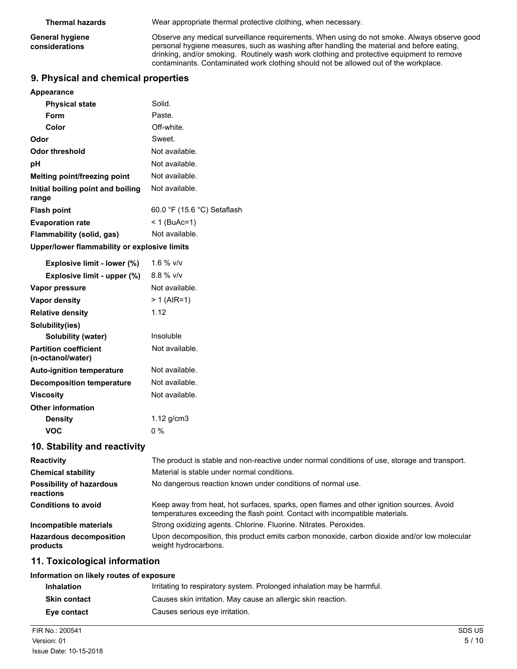**General hygiene considerations**

**Thermal hazards** Wear appropriate thermal protective clothing, when necessary.

Observe any medical surveillance requirements. When using do not smoke. Always observe good personal hygiene measures, such as washing after handling the material and before eating, drinking, and/or smoking. Routinely wash work clothing and protective equipment to remove contaminants. Contaminated work clothing should not be allowed out of the workplace.

## **9. Physical and chemical properties**

| Appearance                                   |                             |
|----------------------------------------------|-----------------------------|
| <b>Physical state</b>                        | Solid.                      |
| Form                                         | Paste.                      |
| Color                                        | Off-white.                  |
| Odor                                         | Sweet.                      |
| Odor threshold                               | Not available.              |
| рH                                           | Not available.              |
| Melting point/freezing point                 | Not available.              |
| Initial boiling point and boiling<br>range   | Not available.              |
| <b>Flash point</b>                           | 60.0 °F (15.6 °C) Setaflash |
| <b>Evaporation rate</b>                      | < 1 (BuAc=1)                |
| Flammability (solid, gas)                    | Not available.              |
| Upper/lower flammability or explosive limits |                             |

| Explosive limit - lower (%)      | 1.6 % $v/v$    |
|----------------------------------|----------------|
| Explosive limit - upper (%)      | $8.8 \%$ v/v   |
| Vapor pressure                   | Not available. |
| Vapor density                    | > 1 (AIR=1)    |
| <b>Relative density</b>          | 1.12           |
| Solubility(ies)                  |                |
| Solubility (water)               | Insoluble      |
| <b>Partition coefficient</b>     | Not available. |
| (n-octanol/water)                |                |
| <b>Auto-ignition temperature</b> | Not available. |
| <b>Decomposition temperature</b> | Not available. |
| Viscosity                        | Not available. |
| <b>Other information</b>         |                |
| Densitv                          | 1.12 $g/cm3$   |
| VOC                              | 0 %            |
|                                  |                |

### **10. Stability and reactivity**

| <b>Reactivity</b>                            | The product is stable and non-reactive under normal conditions of use, storage and transport.                                                                            |
|----------------------------------------------|--------------------------------------------------------------------------------------------------------------------------------------------------------------------------|
| <b>Chemical stability</b>                    | Material is stable under normal conditions.                                                                                                                              |
| <b>Possibility of hazardous</b><br>reactions | No dangerous reaction known under conditions of normal use.                                                                                                              |
| <b>Conditions to avoid</b>                   | Keep away from heat, hot surfaces, sparks, open flames and other ignition sources. Avoid<br>temperatures exceeding the flash point. Contact with incompatible materials. |
| Incompatible materials                       | Strong oxidizing agents. Chlorine. Fluorine. Nitrates. Peroxides.                                                                                                        |
| <b>Hazardous decomposition</b><br>products   | Upon decomposition, this product emits carbon monoxide, carbon dioxide and/or low molecular<br>weight hydrocarbons.                                                      |

## **11. Toxicological information**

#### **Information on likely routes of exposure**

| <b>Inhalation</b>   | Irritating to respiratory system. Prolonged inhalation may be harmful. |
|---------------------|------------------------------------------------------------------------|
| <b>Skin contact</b> | Causes skin irritation. May cause an allergic skin reaction.           |
| Eve contact         | Causes serious eye irritation.                                         |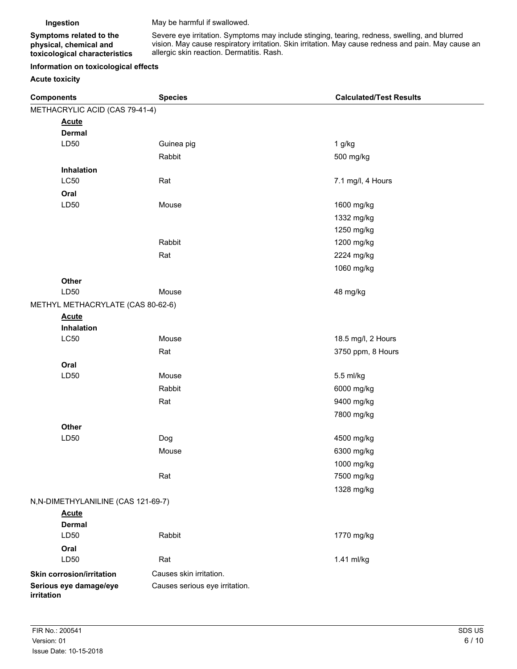**Ingestion** May be harmful if swallowed.

**Symptoms related to the physical, chemical and toxicological characteristics** Severe eye irritation. Symptoms may include stinging, tearing, redness, swelling, and blurred vision. May cause respiratory irritation. Skin irritation. May cause redness and pain. May cause an allergic skin reaction. Dermatitis. Rash.

#### **Information on toxicological effects**

#### **Acute toxicity**

| <b>Components</b>                    | <b>Species</b>                 | <b>Calculated/Test Results</b> |
|--------------------------------------|--------------------------------|--------------------------------|
| METHACRYLIC ACID (CAS 79-41-4)       |                                |                                |
| <b>Acute</b>                         |                                |                                |
| <b>Dermal</b>                        |                                |                                |
| LD50                                 | Guinea pig                     | $1$ g/kg                       |
|                                      | Rabbit                         | 500 mg/kg                      |
| Inhalation                           |                                |                                |
| <b>LC50</b>                          | Rat                            | 7.1 mg/l, 4 Hours              |
| Oral                                 |                                |                                |
| LD50                                 | Mouse                          | 1600 mg/kg                     |
|                                      |                                | 1332 mg/kg                     |
|                                      |                                | 1250 mg/kg                     |
|                                      | Rabbit                         | 1200 mg/kg                     |
|                                      | Rat                            | 2224 mg/kg                     |
|                                      |                                | 1060 mg/kg                     |
| Other                                |                                |                                |
| LD50                                 | Mouse                          | 48 mg/kg                       |
| METHYL METHACRYLATE (CAS 80-62-6)    |                                |                                |
| <b>Acute</b><br>Inhalation           |                                |                                |
| LC50                                 | Mouse                          | 18.5 mg/l, 2 Hours             |
|                                      | Rat                            | 3750 ppm, 8 Hours              |
| Oral                                 |                                |                                |
| LD50                                 | Mouse                          | 5.5 ml/kg                      |
|                                      | Rabbit                         | 6000 mg/kg                     |
|                                      | Rat                            | 9400 mg/kg                     |
|                                      |                                | 7800 mg/kg                     |
| Other                                |                                |                                |
| LD50                                 | Dog                            | 4500 mg/kg                     |
|                                      | Mouse                          | 6300 mg/kg                     |
|                                      |                                | 1000 mg/kg                     |
|                                      | Rat                            | 7500 mg/kg                     |
|                                      |                                | 1328 mg/kg                     |
| N, N-DIMETHYLANILINE (CAS 121-69-7)  |                                |                                |
| <b>Acute</b>                         |                                |                                |
| <b>Dermal</b>                        |                                |                                |
| LD50                                 | Rabbit                         | 1770 mg/kg                     |
| Oral                                 |                                |                                |
| LD50                                 | Rat                            | 1.41 ml/kg                     |
| <b>Skin corrosion/irritation</b>     | Causes skin irritation.        |                                |
| Serious eye damage/eye<br>irritation | Causes serious eye irritation. |                                |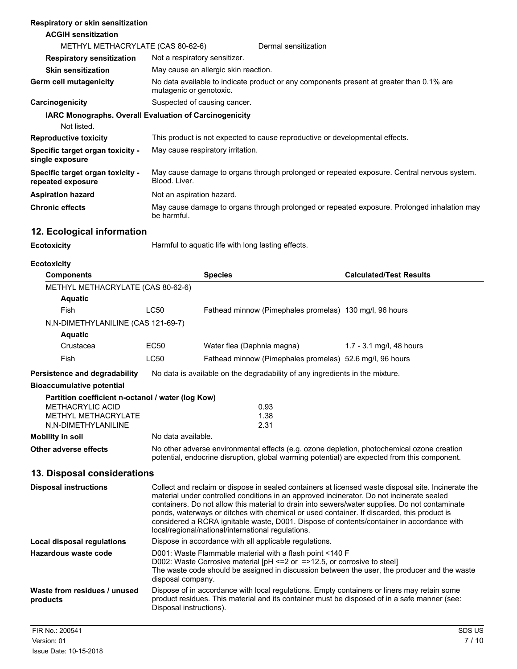#### **Respiratory or skin sensitization**

#### **ACGIH sensitization** METHYL METHACRYLATE (CAS 80-62-6) Dermal sensitization **Respiratory sensitization** Not a respiratory sensitizer. **Skin sensitization** May cause an allergic skin reaction. No data available to indicate product or any components present at greater than 0.1% are mutagenic or genotoxic. **Germ cell mutagenicity Carcinogenicity** Suspected of causing cancer. **IARC Monographs. Overall Evaluation of Carcinogenicity** Not listed. **Reproductive toxicity** This product is not expected to cause reproductive or developmental effects. **Specific target organ toxicity single exposure** May cause respiratory irritation. **Specific target organ toxicity repeated exposure** May cause damage to organs through prolonged or repeated exposure. Central nervous system. Blood. Liver. **Aspiration hazard** Not an aspiration hazard. **Chronic effects** May cause damage to organs through prolonged or repeated exposure. Prolonged inhalation may be harmful.

## **12. Ecological information**

**Ecotoxicity Harmful to aquatic life with long lasting effects.** 

**Ecotoxicity**

| <b>Components</b>                                 |                                                                                                                                                                                                                                                                                                                                                                                                                                                                                                                                                     | <b>Species</b>                                           | <b>Calculated/Test Results</b> |  |
|---------------------------------------------------|-----------------------------------------------------------------------------------------------------------------------------------------------------------------------------------------------------------------------------------------------------------------------------------------------------------------------------------------------------------------------------------------------------------------------------------------------------------------------------------------------------------------------------------------------------|----------------------------------------------------------|--------------------------------|--|
| METHYL METHACRYLATE (CAS 80-62-6)                 |                                                                                                                                                                                                                                                                                                                                                                                                                                                                                                                                                     |                                                          |                                |  |
| <b>Aquatic</b>                                    |                                                                                                                                                                                                                                                                                                                                                                                                                                                                                                                                                     |                                                          |                                |  |
| <b>Fish</b>                                       | <b>LC50</b>                                                                                                                                                                                                                                                                                                                                                                                                                                                                                                                                         | Fathead minnow (Pimephales promelas) 130 mg/l, 96 hours  |                                |  |
| N, N-DIMETHYLANILINE (CAS 121-69-7)               |                                                                                                                                                                                                                                                                                                                                                                                                                                                                                                                                                     |                                                          |                                |  |
| <b>Aquatic</b>                                    |                                                                                                                                                                                                                                                                                                                                                                                                                                                                                                                                                     |                                                          |                                |  |
| Crustacea                                         | <b>EC50</b>                                                                                                                                                                                                                                                                                                                                                                                                                                                                                                                                         | Water flea (Daphnia magna)                               | 1.7 - 3.1 mg/l, 48 hours       |  |
| Fish                                              | <b>LC50</b>                                                                                                                                                                                                                                                                                                                                                                                                                                                                                                                                         | Fathead minnow (Pimephales promelas) 52.6 mg/l, 96 hours |                                |  |
| <b>Persistence and degradability</b>              | No data is available on the degradability of any ingredients in the mixture.                                                                                                                                                                                                                                                                                                                                                                                                                                                                        |                                                          |                                |  |
| <b>Bioaccumulative potential</b>                  |                                                                                                                                                                                                                                                                                                                                                                                                                                                                                                                                                     |                                                          |                                |  |
| Partition coefficient n-octanol / water (log Kow) |                                                                                                                                                                                                                                                                                                                                                                                                                                                                                                                                                     |                                                          |                                |  |
| <b>METHACRYLIC ACID</b>                           |                                                                                                                                                                                                                                                                                                                                                                                                                                                                                                                                                     | 0.93                                                     |                                |  |
| METHYL METHACRYLATE                               |                                                                                                                                                                                                                                                                                                                                                                                                                                                                                                                                                     | 1.38                                                     |                                |  |
| N,N-DIMETHYLANILINE                               |                                                                                                                                                                                                                                                                                                                                                                                                                                                                                                                                                     | 2.31                                                     |                                |  |
| <b>Mobility in soil</b>                           | No data available.                                                                                                                                                                                                                                                                                                                                                                                                                                                                                                                                  |                                                          |                                |  |
| <b>Other adverse effects</b>                      | No other adverse environmental effects (e.g. ozone depletion, photochemical ozone creation<br>potential, endocrine disruption, global warming potential) are expected from this component.                                                                                                                                                                                                                                                                                                                                                          |                                                          |                                |  |
| 13. Disposal considerations                       |                                                                                                                                                                                                                                                                                                                                                                                                                                                                                                                                                     |                                                          |                                |  |
| <b>Disposal instructions</b>                      | Collect and reclaim or dispose in sealed containers at licensed waste disposal site. Incinerate the<br>material under controlled conditions in an approved incinerator. Do not incinerate sealed<br>containers. Do not allow this material to drain into sewers/water supplies. Do not contaminate<br>ponds, waterways or ditches with chemical or used container. If discarded, this product is<br>considered a RCRA ignitable waste, D001. Dispose of contents/container in accordance with<br>local/regional/national/international regulations. |                                                          |                                |  |
| <b>Local disposal regulations</b>                 | Dispose in accordance with all applicable regulations.                                                                                                                                                                                                                                                                                                                                                                                                                                                                                              |                                                          |                                |  |
| Hazardous waste code                              | D001: Waste Flammable material with a flash point <140 F<br>D002: Waste Corrosive material [pH <= 2 or = > 12.5, or corrosive to steel]<br>The waste code should be assigned in discussion between the user, the producer and the waste<br>disposal company.                                                                                                                                                                                                                                                                                        |                                                          |                                |  |
| Waste from residues / unused<br>products          | Dispose of in accordance with local regulations. Empty containers or liners may retain some<br>product residues. This material and its container must be disposed of in a safe manner (see:<br>Disposal instructions).                                                                                                                                                                                                                                                                                                                              |                                                          |                                |  |
| FIR No.: 200541                                   |                                                                                                                                                                                                                                                                                                                                                                                                                                                                                                                                                     |                                                          | SDS US                         |  |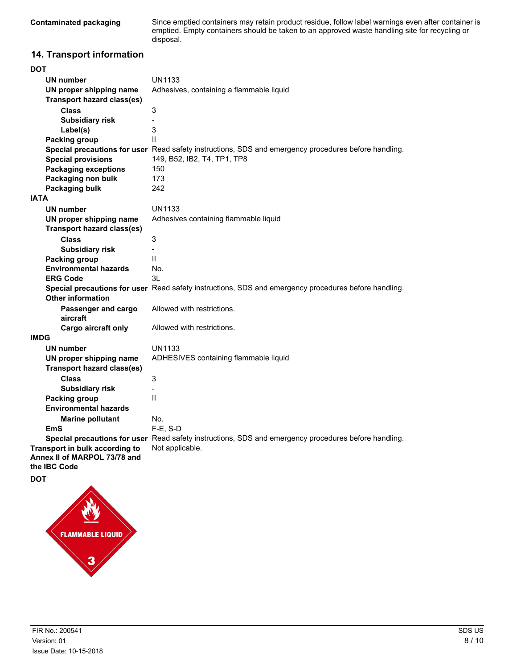Since emptied containers may retain product residue, follow label warnings even after container is emptied. Empty containers should be taken to an approved waste handling site for recycling or disposal.

## **14. Transport information**

| DOT                               |                                                                                                      |
|-----------------------------------|------------------------------------------------------------------------------------------------------|
| <b>UN number</b>                  | <b>UN1133</b>                                                                                        |
| UN proper shipping name           | Adhesives, containing a flammable liquid                                                             |
| <b>Transport hazard class(es)</b> |                                                                                                      |
| <b>Class</b>                      | 3                                                                                                    |
| <b>Subsidiary risk</b>            | $\overline{a}$                                                                                       |
| Label(s)                          | 3                                                                                                    |
| Packing group                     | Ш                                                                                                    |
|                                   | Special precautions for user Read safety instructions, SDS and emergency procedures before handling. |
| <b>Special provisions</b>         | 149, B52, IB2, T4, TP1, TP8                                                                          |
| <b>Packaging exceptions</b>       | 150                                                                                                  |
| Packaging non bulk                | 173                                                                                                  |
| Packaging bulk                    | 242                                                                                                  |
| <b>IATA</b>                       |                                                                                                      |
| <b>UN number</b>                  | <b>UN1133</b>                                                                                        |
| UN proper shipping name           | Adhesives containing flammable liquid                                                                |
| <b>Transport hazard class(es)</b> |                                                                                                      |
| <b>Class</b>                      | 3                                                                                                    |
| <b>Subsidiary risk</b>            | $\blacksquare$                                                                                       |
| <b>Packing group</b>              | $\mathbf{H}$                                                                                         |
| <b>Environmental hazards</b>      | No.                                                                                                  |
| <b>ERG Code</b>                   | 3L                                                                                                   |
|                                   | Special precautions for user Read safety instructions, SDS and emergency procedures before handling. |
| <b>Other information</b>          |                                                                                                      |
| Passenger and cargo               | Allowed with restrictions.                                                                           |
| aircraft                          |                                                                                                      |
| Cargo aircraft only               | Allowed with restrictions.                                                                           |
| <b>IMDG</b>                       |                                                                                                      |
| <b>UN number</b>                  | <b>UN1133</b>                                                                                        |
| UN proper shipping name           | ADHESIVES containing flammable liquid                                                                |
| <b>Transport hazard class(es)</b> |                                                                                                      |
| <b>Class</b>                      | 3                                                                                                    |
| <b>Subsidiary risk</b>            |                                                                                                      |
| <b>Packing group</b>              | Ш                                                                                                    |
| <b>Environmental hazards</b>      |                                                                                                      |
| <b>Marine pollutant</b>           | No.                                                                                                  |
| EmS                               | F-E, S-D                                                                                             |
|                                   | Special precautions for user Read safety instructions, SDS and emergency procedures before handling. |
| Transport in bulk according to    | Not applicable.                                                                                      |
| Annex II of MARPOL 73/78 and      |                                                                                                      |
| the IBC Code                      |                                                                                                      |
| DOT                               |                                                                                                      |

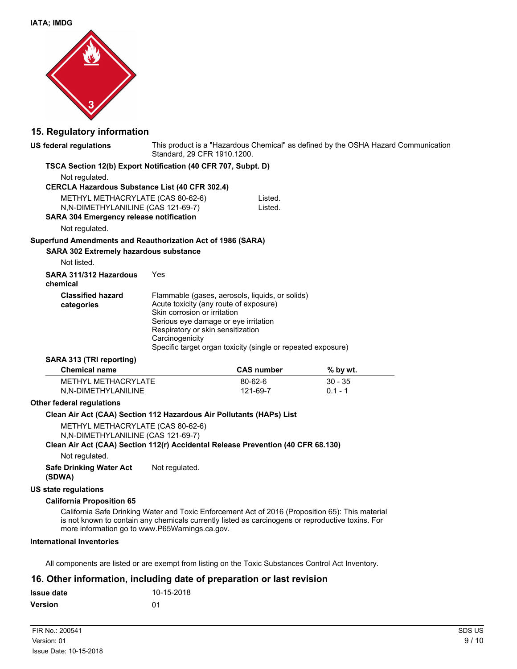

## **15. Regulatory information**

| US federal regulations                                                                                                                                                                                                                                                                                                          | Standard, 29 CFR 1910.1200.                                                                                                                                            |                                                                                                                 | This product is a "Hazardous Chemical" as defined by the OSHA Hazard Communication |  |
|---------------------------------------------------------------------------------------------------------------------------------------------------------------------------------------------------------------------------------------------------------------------------------------------------------------------------------|------------------------------------------------------------------------------------------------------------------------------------------------------------------------|-----------------------------------------------------------------------------------------------------------------|------------------------------------------------------------------------------------|--|
| TSCA Section 12(b) Export Notification (40 CFR 707, Subpt. D)                                                                                                                                                                                                                                                                   |                                                                                                                                                                        |                                                                                                                 |                                                                                    |  |
| Not regulated.<br><b>CERCLA Hazardous Substance List (40 CFR 302.4)</b>                                                                                                                                                                                                                                                         |                                                                                                                                                                        |                                                                                                                 |                                                                                    |  |
| METHYL METHACRYLATE (CAS 80-62-6)<br>N, N-DIMETHYLANILINE (CAS 121-69-7)<br><b>SARA 304 Emergency release notification</b>                                                                                                                                                                                                      |                                                                                                                                                                        | Listed.<br>Listed.                                                                                              |                                                                                    |  |
| Not regulated.                                                                                                                                                                                                                                                                                                                  |                                                                                                                                                                        |                                                                                                                 |                                                                                    |  |
| Superfund Amendments and Reauthorization Act of 1986 (SARA)                                                                                                                                                                                                                                                                     |                                                                                                                                                                        |                                                                                                                 |                                                                                    |  |
| <b>SARA 302 Extremely hazardous substance</b><br>Not listed.                                                                                                                                                                                                                                                                    |                                                                                                                                                                        |                                                                                                                 |                                                                                    |  |
| SARA 311/312 Hazardous<br>chemical                                                                                                                                                                                                                                                                                              | Yes                                                                                                                                                                    |                                                                                                                 |                                                                                    |  |
| <b>Classified hazard</b><br>categories                                                                                                                                                                                                                                                                                          | Acute toxicity (any route of exposure)<br>Skin corrosion or irritation<br>Serious eye damage or eye irritation<br>Respiratory or skin sensitization<br>Carcinogenicity | Flammable (gases, aerosols, liquids, or solids)<br>Specific target organ toxicity (single or repeated exposure) |                                                                                    |  |
|                                                                                                                                                                                                                                                                                                                                 |                                                                                                                                                                        |                                                                                                                 |                                                                                    |  |
| SARA 313 (TRI reporting)                                                                                                                                                                                                                                                                                                        |                                                                                                                                                                        |                                                                                                                 |                                                                                    |  |
| <b>Chemical name</b>                                                                                                                                                                                                                                                                                                            |                                                                                                                                                                        | <b>CAS number</b>                                                                                               | $%$ by wt.                                                                         |  |
| <b>METHYL METHACRYLATE</b><br>N,N-DIMETHYLANILINE                                                                                                                                                                                                                                                                               |                                                                                                                                                                        | 80-62-6<br>121-69-7                                                                                             | $30 - 35$<br>$0.1 - 1$                                                             |  |
| <b>Other federal regulations</b>                                                                                                                                                                                                                                                                                                |                                                                                                                                                                        |                                                                                                                 |                                                                                    |  |
| Clean Air Act (CAA) Section 112 Hazardous Air Pollutants (HAPs) List<br>METHYL METHACRYLATE (CAS 80-62-6)<br>N,N-DIMETHYLANILINE (CAS 121-69-7)<br>Clean Air Act (CAA) Section 112(r) Accidental Release Prevention (40 CFR 68.130)                                                                                             |                                                                                                                                                                        |                                                                                                                 |                                                                                    |  |
| Not regulated.<br><b>Safe Drinking Water Act</b><br>(SDWA)                                                                                                                                                                                                                                                                      | Not regulated.                                                                                                                                                         |                                                                                                                 |                                                                                    |  |
| <b>US state regulations</b>                                                                                                                                                                                                                                                                                                     |                                                                                                                                                                        |                                                                                                                 |                                                                                    |  |
| <b>California Proposition 65</b><br>California Safe Drinking Water and Toxic Enforcement Act of 2016 (Proposition 65): This material<br>is not known to contain any chemicals currently listed as carcinogens or reproductive toxins. For<br>more information go to www.P65Warnings.ca.gov.<br><b>International Inventories</b> |                                                                                                                                                                        |                                                                                                                 |                                                                                    |  |

All components are listed or are exempt from listing on the Toxic Substances Control Act Inventory.

## **16. Other information, including date of preparation or last revision**

| <b>Issue date</b> | 10-15-2018 |
|-------------------|------------|
| <b>Version</b>    | .በ1        |